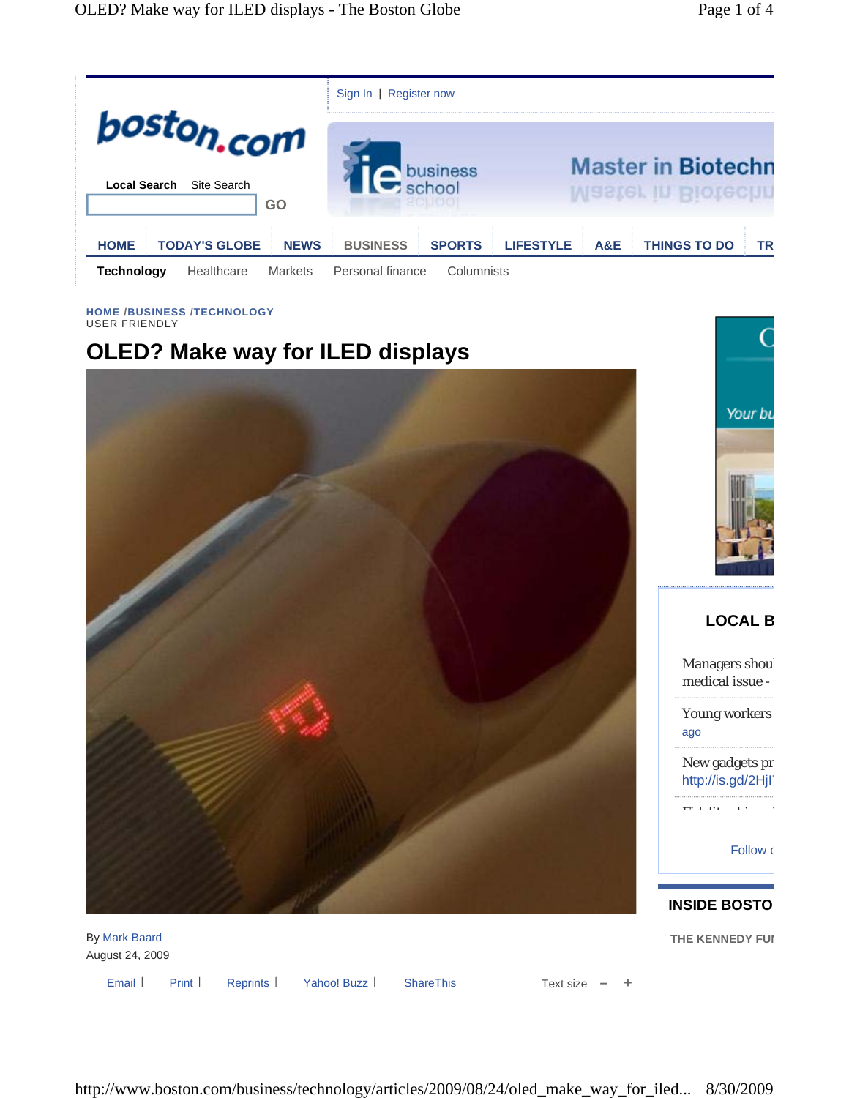

#### **HOME /BUSINESS /TECHNOLOGY** USER FRIENDLY

# **OLED? Make way for ILED displays**





## **LOCAL B**

Managers shou medical issue -

Young workers ago

New gadgets pr http://is.gd/2Hjl<sup>7</sup>

Fid lit hi i

**Follow** o

## **INSIDE BOSTO**

**THE KENNEDY FUI** 

By Mark Baard August 24, 2009

Email Print Reprints Yahoo! Buzz | ShareThis Text size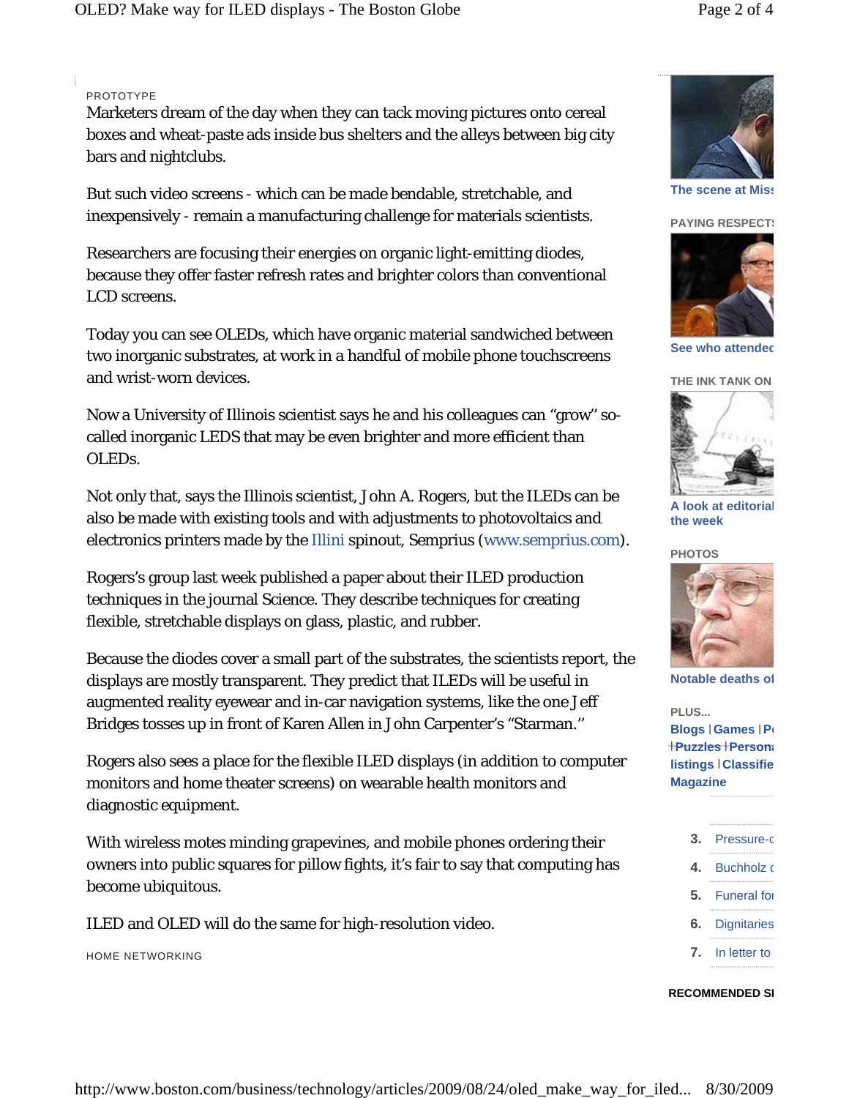## PROTOTYPE

Marketers dream of the day when they can tack moving pictures onto cereal boxes and wheat-paste ads inside bus shelters and the alleys between big city bars and nightclubs.

But such video screens - which can be made bendable, stretchable, and inexpensively - remain a manufacturing challenge for materials scientists.

Researchers are focusing their energies on organic light-emitting diodes, because they offer faster refresh rates and brighter colors than conventional LCD screens.

Today you can see OLEDs, which have organic material sandwiched between two inorganic substrates, at work in a handful of mobile phone touchscreens and wrist-worn devices.

Now a University of Illinois scientist says he and his colleagues can "grow'' socalled inorganic LEDS that may be even brighter and more efficient than OLEDs.

Not only that, says the Illinois scientist, John A. Rogers, but the ILEDs can be also be made with existing tools and with adjustments to photovoltaics and electronics printers made by the Illini spinout, Semprius (www.semprius.com).

Rogers's group last week published a paper about their ILED production techniques in the journal Science. They describe techniques for creating flexible, stretchable displays on glass, plastic, and rubber.

Because the diodes cover a small part of the substrates, the scientists report, the displays are mostly transparent. They predict that ILEDs will be useful in augmented reality eyewear and in-car navigation systems, like the one Jeff Bridges tosses up in front of Karen Allen in John Carpenter's "Starman.''

Rogers also sees a place for the flexible ILED displays (in addition to computer monitors and home theater screens) on wearable health monitors and diagnostic equipment.

With wireless motes minding grapevines, and mobile phones ordering their owners into public squares for pillow fights, it's fair to say that computing has become ubiquitous.

ILED and OLED will do the same for high-resolution video.

HOME NETWORKING



**The scene at Miss**

### **PAYING RESPECTS**



**See who attended** 



**A look at editorial the week**





**Notable deaths of**

**PLUS... Blogs Games Po** | | **Puzzles Persona** | | **listings Classifie** | **Magazine**



### **RECOMMENDED SI**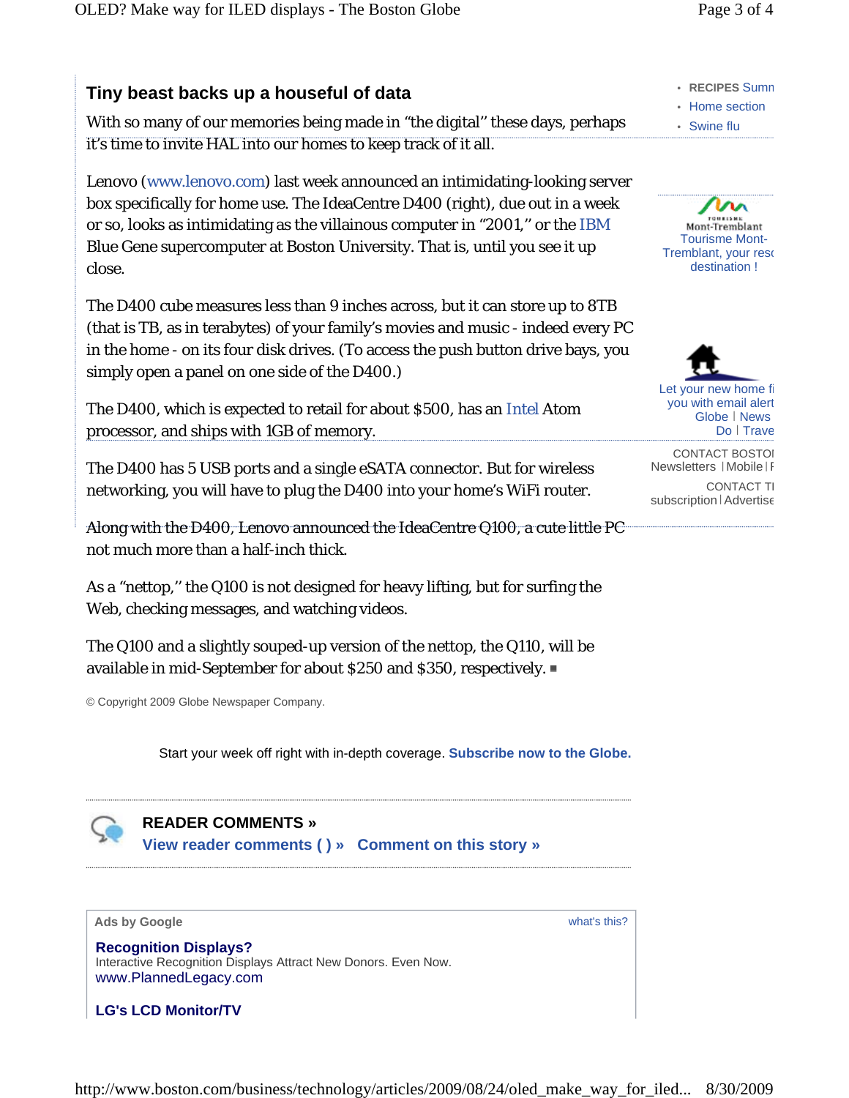# **Tiny beast backs up a houseful of data**

With so many of our memories being made in "the digital'' these days, perhaps it's time to invite HAL into our homes to keep track of it all.

Lenovo (www.lenovo.com) last week announced an intimidating-looking server box specifically for home use. The IdeaCentre D400 (right), due out in a week or so, looks as intimidating as the villainous computer in "2001,'' or the IBM Blue Gene supercomputer at Boston University. That is, until you see it up close.

The D400 cube measures less than 9 inches across, but it can store up to 8TB (that is TB, as in terabytes) of your family's movies and music - indeed every PC in the home - on its four disk drives. (To access the push button drive bays, you simply open a panel on one side of the D400.)

The D400, which is expected to retail for about \$500, has an Intel Atom processor, and ships with 1GB of memory.

The D400 has 5 USB ports and a single eSATA connector. But for wireless networking, you will have to plug the D400 into your home's WiFi router.

Along with the D400, Lenovo announced the IdeaCentre Q100, a cute little PC not much more than a half-inch thick.

As a "nettop," the Q100 is not designed for heavy lifting, but for surfing the Web, checking messages, and watching videos.

The Q100 and a slightly souped-up version of the nettop, the Q110, will be available in mid-September for about \$250 and \$350, respectively.

© Copyright 2009 Globe Newspaper Company.

Start your week off right with in-depth coverage. **Subscribe now to the Globe.**

**READER COMMENTS » View reader comments ( ) » Comment on this story »**



**Recognition Displays?** Interactive Recognition Displays Attract New Donors. Even Now. www.PlannedLegacy.com

**LG's LCD Monitor/TV**

- **RECIPES** Summ
- Home section
- Swine flu





Let your new home fi you with email alert Globe | News Do | Trave

CONTACT BOSTOI Newsletters | Mobile | F

**CONTACT TI** subscription | Advertise